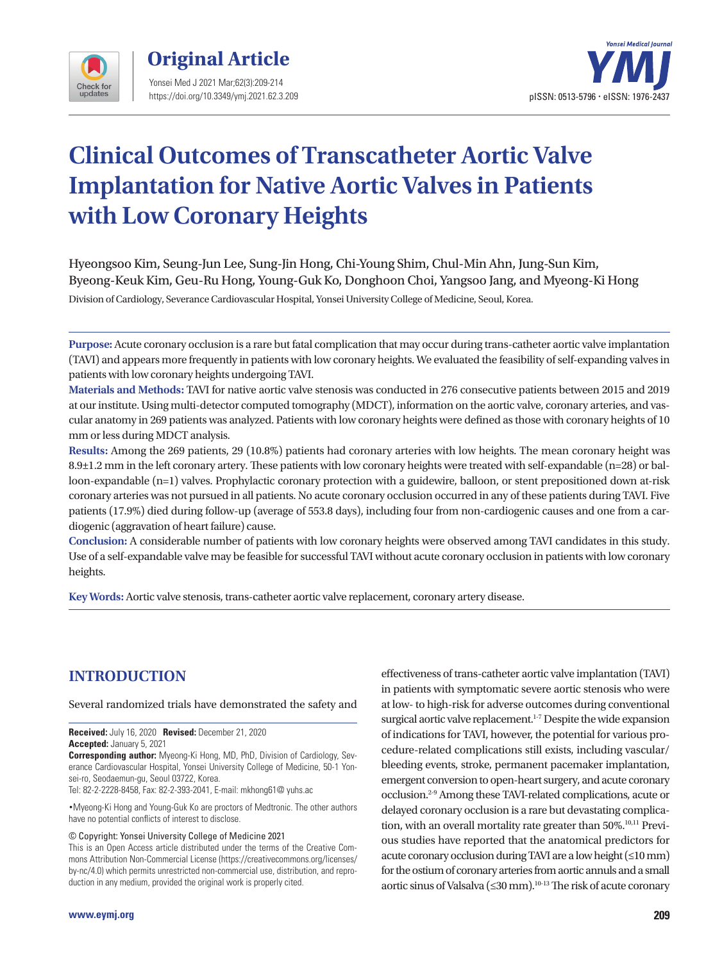



# **Clinical Outcomes of Transcatheter Aortic Valve Implantation for Native Aortic Valves in Patients with Low Coronary Heights**

Hyeongsoo Kim, Seung-Jun Lee, Sung-Jin Hong, Chi-Young Shim, Chul-Min Ahn, Jung-Sun Kim, Byeong-Keuk Kim, Geu-Ru Hong, Young-Guk Ko, Donghoon Choi, Yangsoo Jang, and Myeong-Ki Hong

Division of Cardiology, Severance Cardiovascular Hospital, Yonsei University College of Medicine, Seoul, Korea.

**Purpose:** Acute coronary occlusion is a rare but fatal complication that may occur during trans-catheter aortic valve implantation (TAVI) and appears more frequently in patients with low coronary heights. We evaluated the feasibility of self-expanding valves in patients with low coronary heights undergoing TAVI.

**Materials and Methods:** TAVI for native aortic valve stenosis was conducted in 276 consecutive patients between 2015 and 2019 at our institute. Using multi-detector computed tomography (MDCT), information on the aortic valve, coronary arteries, and vascular anatomy in 269 patients was analyzed. Patients with low coronary heights were defined as those with coronary heights of 10 mm or less during MDCT analysis.

**Results:** Among the 269 patients, 29 (10.8%) patients had coronary arteries with low heights. The mean coronary height was 8.9±1.2 mm in the left coronary artery. These patients with low coronary heights were treated with self-expandable (n=28) or balloon-expandable (n=1) valves. Prophylactic coronary protection with a guidewire, balloon, or stent prepositioned down at-risk coronary arteries was not pursued in all patients. No acute coronary occlusion occurred in any of these patients during TAVI. Five patients (17.9%) died during follow-up (average of 553.8 days), including four from non-cardiogenic causes and one from a cardiogenic (aggravation of heart failure) cause.

**Conclusion:** A considerable number of patients with low coronary heights were observed among TAVI candidates in this study. Use of a self-expandable valve may be feasible for successful TAVI without acute coronary occlusion in patients with low coronary heights.

**Key Words:** Aortic valve stenosis, trans-catheter aortic valve replacement, coronary artery disease.

# **INTRODUCTION**

Several randomized trials have demonstrated the safety and

**Received:** July 16, 2020 **Revised:** December 21, 2020 **Accepted:** January 5, 2021

**Corresponding author:** Myeong-Ki Hong, MD, PhD, Division of Cardiology, Severance Cardiovascular Hospital, Yonsei University College of Medicine, 50-1 Yonsei-ro, Seodaemun-gu, Seoul 03722, Korea.

Tel: 82-2-2228-8458, Fax: 82-2-393-2041, E-mail: mkhong61@ yuhs.ac

•Myeong-Ki Hong and Young-Guk Ko are proctors of Medtronic. The other authors have no potential conflicts of interest to disclose.

© Copyright: Yonsei University College of Medicine 2021

This is an Open Access article distributed under the terms of the Creative Commons Attribution Non-Commercial License (https://creativecommons.org/licenses/ by-nc/4.0) which permits unrestricted non-commercial use, distribution, and reproduction in any medium, provided the original work is properly cited.

effectiveness of trans-catheter aortic valve implantation (TAVI) in patients with symptomatic severe aortic stenosis who were at low- to high-risk for adverse outcomes during conventional surgical aortic valve replacement.<sup>1-7</sup> Despite the wide expansion of indications for TAVI, however, the potential for various procedure-related complications still exists, including vascular/ bleeding events, stroke, permanent pacemaker implantation, emergent conversion to open-heart surgery, and acute coronary occlusion.2-9 Among these TAVI-related complications, acute or delayed coronary occlusion is a rare but devastating complication, with an overall mortality rate greater than 50%.<sup>10,11</sup> Previous studies have reported that the anatomical predictors for acute coronary occlusion during TAVI are a low height (≤10 mm) for the ostium of coronary arteries from aortic annuls and a small aortic sinus of Valsalva (≤30 mm).<sup>10-13</sup> The risk of acute coronary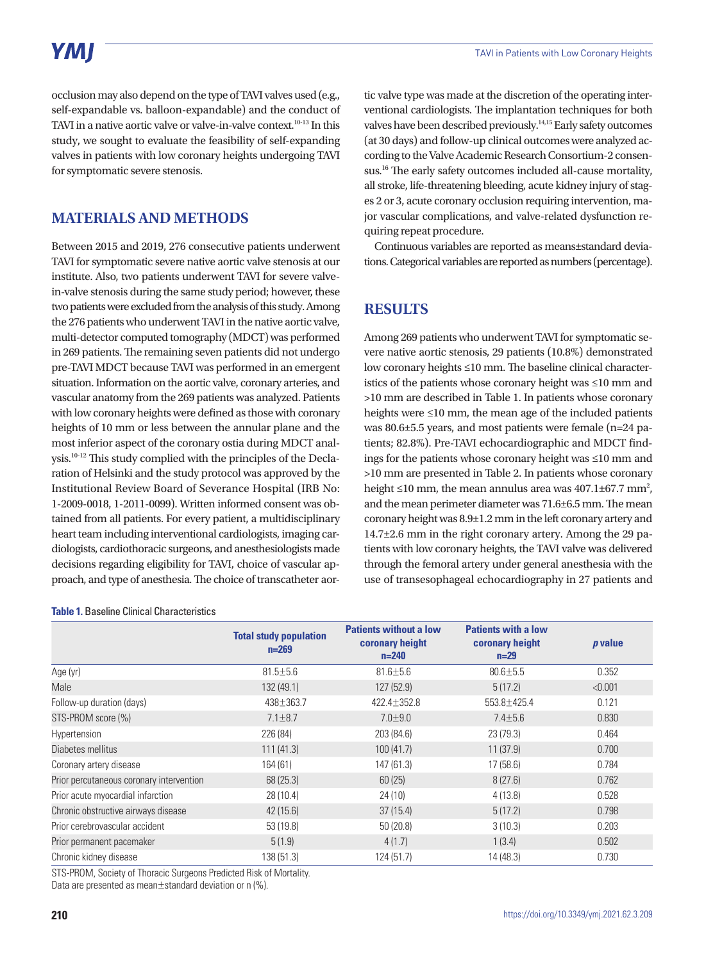# YMI

occlusion may also depend on the type of TAVI valves used (e.g., self-expandable vs. balloon-expandable) and the conduct of TAVI in a native aortic valve or valve-in-valve context.<sup>10-13</sup> In this study, we sought to evaluate the feasibility of self-expanding valves in patients with low coronary heights undergoing TAVI for symptomatic severe stenosis.

## **MATERIALS AND METHODS**

Between 2015 and 2019, 276 consecutive patients underwent TAVI for symptomatic severe native aortic valve stenosis at our institute. Also, two patients underwent TAVI for severe valvein-valve stenosis during the same study period; however, these two patients were excluded from the analysis of this study. Among the 276 patients who underwent TAVI in the native aortic valve, multi-detector computed tomography (MDCT) was performed in 269 patients. The remaining seven patients did not undergo pre-TAVI MDCT because TAVI was performed in an emergent situation. Information on the aortic valve, coronary arteries, and vascular anatomy from the 269 patients was analyzed. Patients with low coronary heights were defined as those with coronary heights of 10 mm or less between the annular plane and the most inferior aspect of the coronary ostia during MDCT analysis.10-12 This study complied with the principles of the Declaration of Helsinki and the study protocol was approved by the Institutional Review Board of Severance Hospital (IRB No: 1-2009-0018, 1-2011-0099). Written informed consent was obtained from all patients. For every patient, a multidisciplinary heart team including interventional cardiologists, imaging cardiologists, cardiothoracic surgeons, and anesthesiologists made decisions regarding eligibility for TAVI, choice of vascular approach, and type of anesthesia. The choice of transcatheter aor-

**Table 1.** Baseline Clinical Characteristics

tic valve type was made at the discretion of the operating interventional cardiologists. The implantation techniques for both valves have been described previously.14,15 Early safety outcomes (at 30 days) and follow-up clinical outcomes were analyzed according to the Valve Academic Research Consortium-2 consensus.<sup>16</sup> The early safety outcomes included all-cause mortality, all stroke, life-threatening bleeding, acute kidney injury of stages 2 or 3, acute coronary occlusion requiring intervention, major vascular complications, and valve-related dysfunction requiring repeat procedure.

Continuous variables are reported as means±standard deviations. Categorical variables are reported as numbers (percentage).

## **RESULTS**

Among 269 patients who underwent TAVI for symptomatic severe native aortic stenosis, 29 patients (10.8%) demonstrated low coronary heights ≤10 mm. The baseline clinical characteristics of the patients whose coronary height was ≤10 mm and >10 mm are described in Table 1. In patients whose coronary heights were ≤10 mm, the mean age of the included patients was 80.6±5.5 years, and most patients were female (n=24 patients; 82.8%). Pre-TAVI echocardiographic and MDCT findings for the patients whose coronary height was ≤10 mm and >10 mm are presented in Table 2. In patients whose coronary height  $\leq 10$  mm, the mean annulus area was  $407.1 \pm 67.7$  mm<sup>2</sup>, and the mean perimeter diameter was 71.6±6.5 mm. The mean coronary height was 8.9±1.2 mm in the left coronary artery and 14.7±2.6 mm in the right coronary artery. Among the 29 patients with low coronary heights, the TAVI valve was delivered through the femoral artery under general anesthesia with the use of transesophageal echocardiography in 27 patients and

|                                          | <b>Total study population</b><br>$n = 269$ | <b>Patients without a low</b><br>coronary height<br>$n = 240$ | <b>Patients with a low</b><br>coronary height<br>$n=29$ | <i>p</i> value |
|------------------------------------------|--------------------------------------------|---------------------------------------------------------------|---------------------------------------------------------|----------------|
| Age (yr)                                 | $81.5 \pm 5.6$                             | $81.6 \pm 5.6$                                                | $80.6 \pm 5.5$                                          | 0.352          |
| Male                                     | 132 (49.1)                                 | 127 (52.9)                                                    | 5(17.2)                                                 | < 0.001        |
| Follow-up duration (days)                | 438±363.7                                  | $422.4 \pm 352.8$                                             | 553.8±425.4                                             | 0.121          |
| STS-PROM score (%)                       | $7.1 \pm 8.7$                              | $7.0 + 9.0$                                                   | $7.4 \pm 5.6$                                           | 0.830          |
| Hypertension                             | 226 (84)                                   | 203 (84.6)                                                    | 23(79.3)                                                | 0.464          |
| Diabetes mellitus                        | 111(41.3)                                  | 100(41.7)                                                     | 11(37.9)                                                | 0.700          |
| Coronary artery disease                  | 164 (61)                                   | 147 (61.3)                                                    | 17(58.6)                                                | 0.784          |
| Prior percutaneous coronary intervention | 68(25.3)                                   | 60(25)                                                        | 8(27.6)                                                 | 0.762          |
| Prior acute myocardial infarction        | 28 (10.4)                                  | 24(10)                                                        | 4(13.8)                                                 | 0.528          |
| Chronic obstructive airways disease      | 42(15.6)                                   | 37(15.4)                                                      | 5(17.2)                                                 | 0.798          |
| Prior cerebrovascular accident           | 53 (19.8)                                  | 50(20.8)                                                      | 3(10.3)                                                 | 0.203          |
| Prior permanent pacemaker                | 5(1.9)                                     | 4(1.7)                                                        | 1(3.4)                                                  | 0.502          |
| Chronic kidney disease                   | 138 (51.3)                                 | 124 (51.7)                                                    | 14 (48.3)                                               | 0.730          |

STS-PROM, Society of Thoracic Surgeons Predicted Risk of Mortality.

Data are presented as mean±standard deviation or n (%).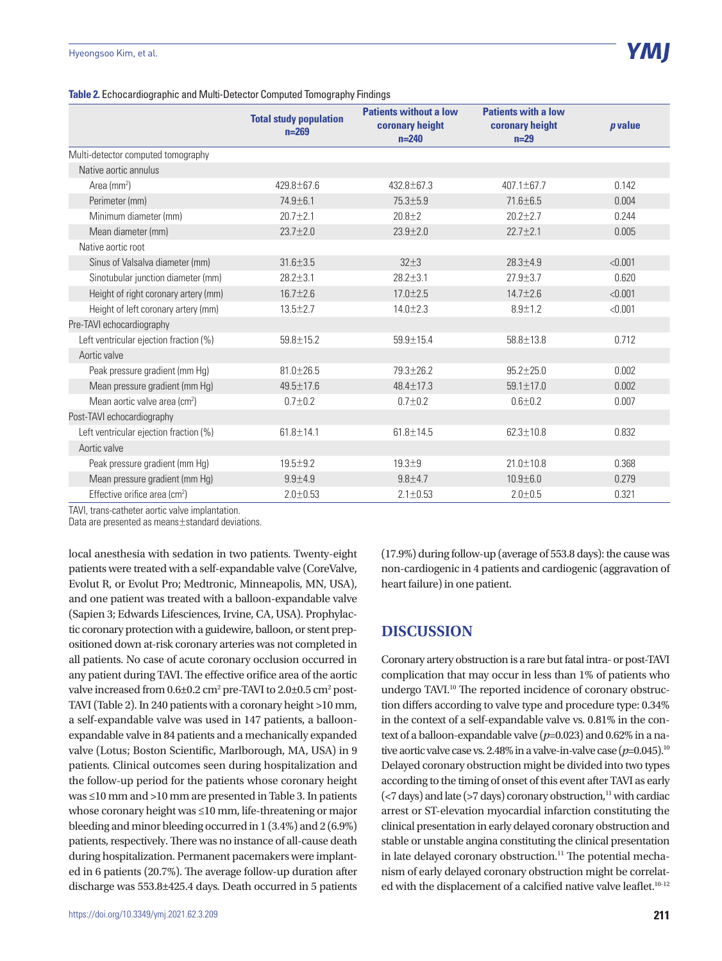#### **Table 2.** Echocardiographic and Multi-Detector Computed Tomography Findings

|                                           | <b>Total study population</b><br>$n = 269$ | <b>Patients without a low</b><br>coronary height<br>$n=240$ | <b>Patients with a low</b><br>coronary height<br>$n=29$ | $p$ value |
|-------------------------------------------|--------------------------------------------|-------------------------------------------------------------|---------------------------------------------------------|-----------|
| Multi-detector computed tomography        |                                            |                                                             |                                                         |           |
| Native aortic annulus                     |                                            |                                                             |                                                         |           |
| Area ( $mm2$ )                            | 429.8±67.6                                 | 432.8±67.3                                                  | 407.1±67.7                                              | 0.142     |
| Perimeter (mm)                            | 74.9±6.1                                   | 75.3±5.9                                                    | $71.6 \pm 6.5$                                          | 0.004     |
| Minimum diameter (mm)                     | $20.7 \pm 2.1$                             | $20.8 \pm 2$                                                | $20.2 \pm 2.7$                                          | 0.244     |
| Mean diameter (mm)                        | $23.7 + 2.0$                               | $23.9 + 2.0$                                                | $22.7 + 2.1$                                            | 0.005     |
| Native aortic root                        |                                            |                                                             |                                                         |           |
| Sinus of Valsalva diameter (mm)           | $31.6 \pm 3.5$                             | $32 + 3$                                                    | $28.3 + 4.9$                                            | < 0.001   |
| Sinotubular junction diameter (mm)        | $28.2 + 3.1$                               | $28.2 + 3.1$                                                | $27.9 + 3.7$                                            | 0.620     |
| Height of right coronary artery (mm)      | $16.7 + 2.6$                               | $17.0 + 2.5$                                                | $14.7 + 2.6$                                            | < 0.001   |
| Height of left coronary artery (mm)       | $13.5 \pm 2.7$                             | $14.0 \pm 2.3$                                              | $8.9 + 1.2$                                             | < 0.001   |
| Pre-TAVI echocardiography                 |                                            |                                                             |                                                         |           |
| Left ventricular ejection fraction (%)    | $59.8 \pm 15.2$                            | $59.9 \pm 15.4$                                             | $58.8 \pm 13.8$                                         | 0.712     |
| Aortic valve                              |                                            |                                                             |                                                         |           |
| Peak pressure gradient (mm Hg)            | 81.0±26.5                                  | $79.3 + 26.2$                                               | $95.2 + 25.0$                                           | 0.002     |
| Mean pressure gradient (mm Hg)            | 49.5±17.6                                  | $48.4 + 17.3$                                               | $59.1 \pm 17.0$                                         | 0.002     |
| Mean aortic valve area (cm <sup>2</sup> ) | $0.7 + 0.2$                                | $0.7 + 0.2$                                                 | $0.6 + 0.2$                                             | 0.007     |
| Post-TAVI echocardiography                |                                            |                                                             |                                                         |           |
| Left ventricular ejection fraction (%)    | $61.8 + 14.1$                              | $61.8 + 14.5$                                               | $62.3 + 10.8$                                           | 0.832     |
| Aortic valve                              |                                            |                                                             |                                                         |           |
| Peak pressure gradient (mm Hg)            | $19.5 + 9.2$                               | $19.3 + 9$                                                  | $21.0 \pm 10.8$                                         | 0.368     |
| Mean pressure gradient (mm Hg)            | $9.9 + 4.9$                                | $9.8 + 4.7$                                                 | $10.9 + 6.0$                                            | 0.279     |
| Effective orifice area (cm <sup>2</sup> ) | $2.0 + 0.53$                               | $2.1 \pm 0.53$                                              | $2.0 + 0.5$                                             | 0.321     |

TAVI, trans-catheter aortic valve implantation.

Data are presented as means±standard deviations.

local anesthesia with sedation in two patients. Twenty-eight patients were treated with a self-expandable valve (CoreValve, Evolut R, or Evolut Pro; Medtronic, Minneapolis, MN, USA), and one patient was treated with a balloon-expandable valve (Sapien 3; Edwards Lifesciences, Irvine, CA, USA). Prophylactic coronary protection with a guidewire, balloon, or stent prepositioned down at-risk coronary arteries was not completed in all patients. No case of acute coronary occlusion occurred in any patient during TAVI. The effective orifice area of the aortic valve increased from  $0.6\pm0.2$  cm<sup>2</sup> pre-TAVI to  $2.0\pm0.5$  cm<sup>2</sup> post-TAVI (Table 2). In 240 patients with a coronary height >10 mm, a self-expandable valve was used in 147 patients, a balloonexpandable valve in 84 patients and a mechanically expanded valve (Lotus; Boston Scientific, Marlborough, MA, USA) in 9 patients. Clinical outcomes seen during hospitalization and the follow-up period for the patients whose coronary height was ≤10 mm and >10 mm are presented in Table 3. In patients whose coronary height was ≤10 mm, life-threatening or major bleeding and minor bleeding occurred in 1 (3.4%) and 2 (6.9%) patients, respectively. There was no instance of all-cause death during hospitalization. Permanent pacemakers were implanted in 6 patients (20.7%). The average follow-up duration after discharge was 553.8±425.4 days. Death occurred in 5 patients

(17.9%) during follow-up (average of 553.8 days): the cause was non-cardiogenic in 4 patients and cardiogenic (aggravation of heart failure) in one patient.

### **DISCUSSION**

Coronary artery obstruction is a rare but fatal intra- or post-TAVI complication that may occur in less than 1% of patients who undergo TAVI.<sup>10</sup> The reported incidence of coronary obstruction differs according to valve type and procedure type: 0.34% in the context of a self-expandable valve vs. 0.81% in the context of a balloon-expandable valve (*p*=0.023) and 0.62% in a native aortic valve case vs. 2.48% in a valve-in-valve case ( $p=0.045$ ).<sup>10</sup> Delayed coronary obstruction might be divided into two types according to the timing of onset of this event after TAVI as early  $\left($  <7 days) and late (>7 days) coronary obstruction,<sup>11</sup> with cardiac arrest or ST-elevation myocardial infarction constituting the clinical presentation in early delayed coronary obstruction and stable or unstable angina constituting the clinical presentation in late delayed coronary obstruction.<sup>11</sup> The potential mechanism of early delayed coronary obstruction might be correlated with the displacement of a calcified native valve leaflet.<sup>10-12</sup>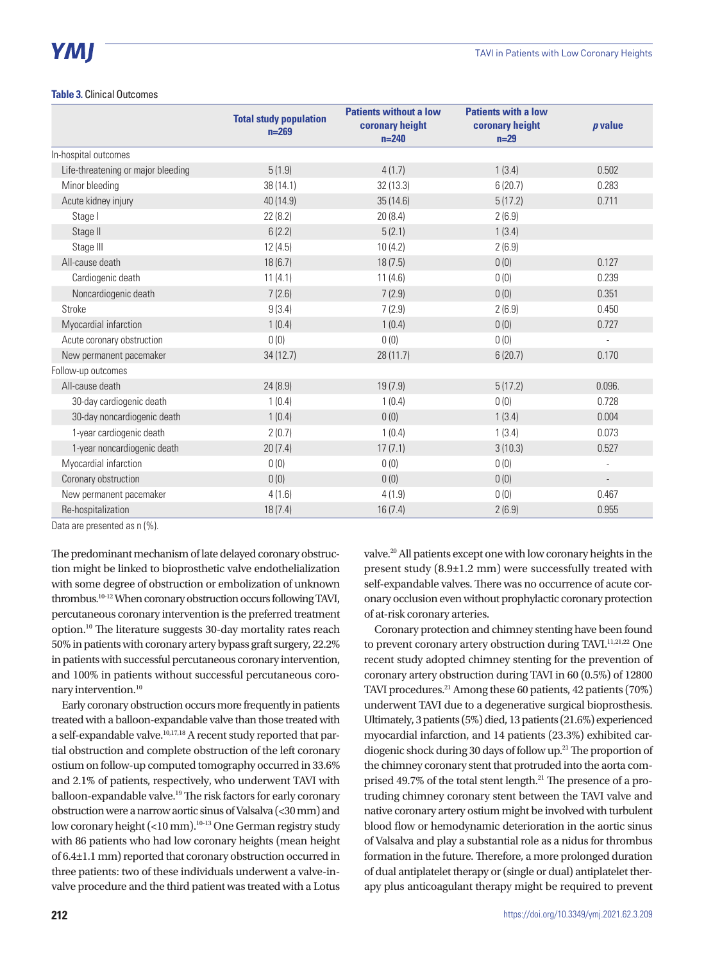#### **Table 3.** Clinical Outcomes

|                                    | <b>Total study population</b><br>$n = 269$ | <b>Patients without a low</b><br>coronary height<br>$n = 240$ | <b>Patients with a low</b><br>coronary height<br>$n=29$ | p value                  |
|------------------------------------|--------------------------------------------|---------------------------------------------------------------|---------------------------------------------------------|--------------------------|
| In-hospital outcomes               |                                            |                                                               |                                                         |                          |
| Life-threatening or major bleeding | 5(1.9)                                     | 4(1.7)                                                        | 1(3.4)                                                  | 0.502                    |
| Minor bleeding                     | 38 (14.1)                                  | 32(13.3)                                                      | 6(20.7)                                                 | 0.283                    |
| Acute kidney injury                | 40 (14.9)                                  | 35(14.6)                                                      | 5(17.2)                                                 | 0.711                    |
| Stage I                            | 22(8.2)                                    | 20(8.4)                                                       | 2(6.9)                                                  |                          |
| Stage II                           | 6(2.2)                                     | 5(2.1)                                                        | 1(3.4)                                                  |                          |
| Stage III                          | 12(4.5)                                    | 10(4.2)                                                       | 2(6.9)                                                  |                          |
| All-cause death                    | 18(6.7)                                    | 18(7.5)                                                       | 0(0)                                                    | 0.127                    |
| Cardiogenic death                  | 11(4.1)                                    | 11(4.6)                                                       | 0(0)                                                    | 0.239                    |
| Noncardiogenic death               | 7(2.6)                                     | 7(2.9)                                                        | 0(0)                                                    | 0.351                    |
| Stroke                             | 9(3.4)                                     | 7(2.9)                                                        | 2(6.9)                                                  | 0.450                    |
| Myocardial infarction              | 1(0.4)                                     | 1(0.4)                                                        | 0(0)                                                    | 0.727                    |
| Acute coronary obstruction         | 0(0)                                       | 0(0)                                                          | 0(0)                                                    | $\overline{\phantom{a}}$ |
| New permanent pacemaker            | 34(12.7)                                   | 28(11.7)                                                      | 6(20.7)                                                 | 0.170                    |
| Follow-up outcomes                 |                                            |                                                               |                                                         |                          |
| All-cause death                    | 24(8.9)                                    | 19(7.9)                                                       | 5(17.2)                                                 | 0.096.                   |
| 30-day cardiogenic death           | 1(0.4)                                     | 1(0.4)                                                        | 0(0)                                                    | 0.728                    |
| 30-day noncardiogenic death        | 1(0.4)                                     | 0(0)                                                          | 1(3.4)                                                  | 0.004                    |
| 1-year cardiogenic death           | 2(0.7)                                     | 1(0.4)                                                        | 1(3.4)                                                  | 0.073                    |
| 1-year noncardiogenic death        | 20(7.4)                                    | 17(7.1)                                                       | 3(10.3)                                                 | 0.527                    |
| Myocardial infarction              | 0(0)                                       | 0(0)                                                          | 0(0)                                                    |                          |
| Coronary obstruction               | 0(0)                                       | 0(0)                                                          | 0(0)                                                    | $\overline{\phantom{a}}$ |
| New permanent pacemaker            | 4(1.6)                                     | 4(1.9)                                                        | 0(0)                                                    | 0.467                    |
| Re-hospitalization                 | 18(7.4)                                    | 16(7.4)                                                       | 2(6.9)                                                  | 0.955                    |

Data are presented as n (%).

The predominant mechanism of late delayed coronary obstruction might be linked to bioprosthetic valve endothelialization with some degree of obstruction or embolization of unknown thrombus.10-12 When coronary obstruction occurs following TAVI, percutaneous coronary intervention is the preferred treatment option.10 The literature suggests 30-day mortality rates reach 50% in patients with coronary artery bypass graft surgery, 22.2% in patients with successful percutaneous coronary intervention, and 100% in patients without successful percutaneous coronary intervention.<sup>10</sup>

Early coronary obstruction occurs more frequently in patients treated with a balloon-expandable valve than those treated with a self-expandable valve.10,17,18 A recent study reported that partial obstruction and complete obstruction of the left coronary ostium on follow-up computed tomography occurred in 33.6% and 2.1% of patients, respectively, who underwent TAVI with balloon-expandable valve.19 The risk factors for early coronary obstruction were a narrow aortic sinus of Valsalva (<30 mm) and low coronary height (<10 mm).<sup>10-13</sup> One German registry study with 86 patients who had low coronary heights (mean height of 6.4±1.1 mm) reported that coronary obstruction occurred in three patients: two of these individuals underwent a valve-invalve procedure and the third patient was treated with a Lotus

valve.20 All patients except one with low coronary heights in the present study (8.9±1.2 mm) were successfully treated with self-expandable valves. There was no occurrence of acute coronary occlusion even without prophylactic coronary protection of at-risk coronary arteries.

Coronary protection and chimney stenting have been found to prevent coronary artery obstruction during TAVI.<sup>11,21,22</sup> One recent study adopted chimney stenting for the prevention of coronary artery obstruction during TAVI in 60 (0.5%) of 12800 TAVI procedures.21 Among these 60 patients, 42 patients (70%) underwent TAVI due to a degenerative surgical bioprosthesis. Ultimately, 3 patients (5%) died, 13 patients (21.6%) experienced myocardial infarction, and 14 patients (23.3%) exhibited cardiogenic shock during 30 days of follow up.21 The proportion of the chimney coronary stent that protruded into the aorta comprised 49.7% of the total stent length.21 The presence of a protruding chimney coronary stent between the TAVI valve and native coronary artery ostium might be involved with turbulent blood flow or hemodynamic deterioration in the aortic sinus of Valsalva and play a substantial role as a nidus for thrombus formation in the future. Therefore, a more prolonged duration of dual antiplatelet therapy or (single or dual) antiplatelet therapy plus anticoagulant therapy might be required to prevent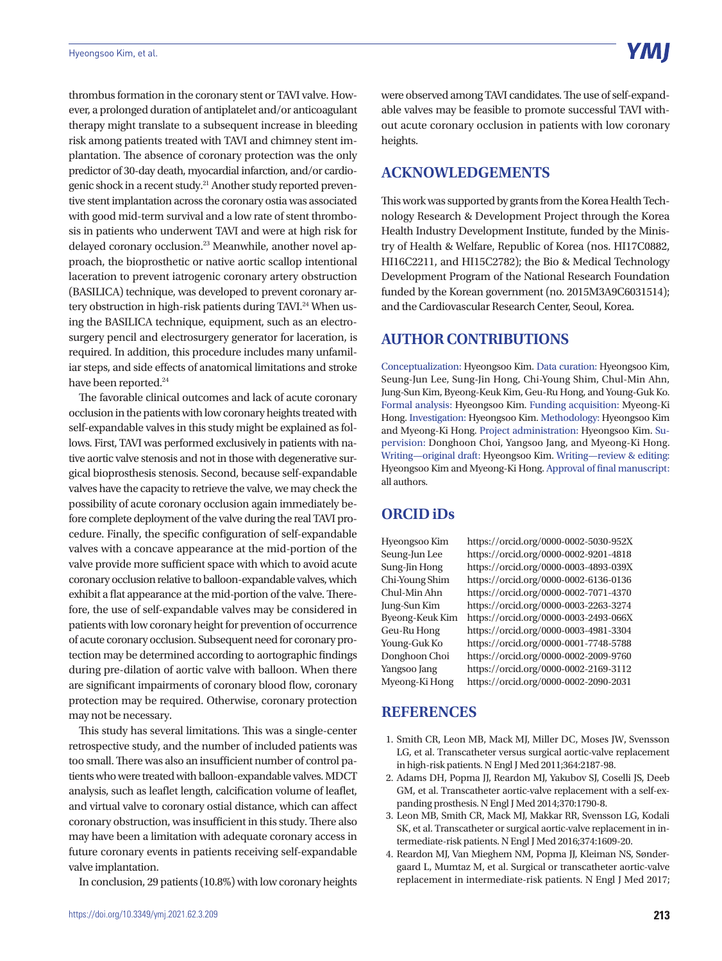thrombus formation in the coronary stent or TAVI valve. However, a prolonged duration of antiplatelet and/or anticoagulant therapy might translate to a subsequent increase in bleeding risk among patients treated with TAVI and chimney stent implantation. The absence of coronary protection was the only predictor of 30-day death, myocardial infarction, and/or cardiogenic shock in a recent study.<sup>21</sup> Another study reported preventive stent implantation across the coronary ostia was associated with good mid-term survival and a low rate of stent thrombosis in patients who underwent TAVI and were at high risk for delayed coronary occlusion.<sup>23</sup> Meanwhile, another novel approach, the bioprosthetic or native aortic scallop intentional laceration to prevent iatrogenic coronary artery obstruction (BASILICA) technique, was developed to prevent coronary artery obstruction in high-risk patients during TAVI.<sup>24</sup> When using the BASILICA technique, equipment, such as an electrosurgery pencil and electrosurgery generator for laceration, is required. In addition, this procedure includes many unfamiliar steps, and side effects of anatomical limitations and stroke have been reported.<sup>24</sup>

The favorable clinical outcomes and lack of acute coronary occlusion in the patients with low coronary heights treated with self-expandable valves in this study might be explained as follows. First, TAVI was performed exclusively in patients with native aortic valve stenosis and not in those with degenerative surgical bioprosthesis stenosis. Second, because self-expandable valves have the capacity to retrieve the valve, we may check the possibility of acute coronary occlusion again immediately before complete deployment of the valve during the real TAVI procedure. Finally, the specific configuration of self-expandable valves with a concave appearance at the mid-portion of the valve provide more sufficient space with which to avoid acute coronary occlusion relative to balloon-expandable valves, which exhibit a flat appearance at the mid-portion of the valve. Therefore, the use of self-expandable valves may be considered in patients with low coronary height for prevention of occurrence of acute coronary occlusion. Subsequent need for coronary protection may be determined according to aortographic findings during pre-dilation of aortic valve with balloon. When there are significant impairments of coronary blood flow, coronary protection may be required. Otherwise, coronary protection may not be necessary.

This study has several limitations. This was a single-center retrospective study, and the number of included patients was too small. There was also an insufficient number of control patients who were treated with balloon-expandable valves. MDCT analysis, such as leaflet length, calcification volume of leaflet, and virtual valve to coronary ostial distance, which can affect coronary obstruction, was insufficient in this study. There also may have been a limitation with adequate coronary access in future coronary events in patients receiving self-expandable valve implantation.

In conclusion, 29 patients (10.8%) with low coronary heights

were observed among TAVI candidates. The use of self-expandable valves may be feasible to promote successful TAVI without acute coronary occlusion in patients with low coronary heights.

## **ACKNOWLEDGEMENTS**

This work was supported by grants from the Korea Health Technology Research & Development Project through the Korea Health Industry Development Institute, funded by the Ministry of Health & Welfare, Republic of Korea (nos. HI17C0882, HI16C2211, and HI15C2782); the Bio & Medical Technology Development Program of the National Research Foundation funded by the Korean government (no. 2015M3A9C6031514); and the Cardiovascular Research Center, Seoul, Korea.

## **AUTHOR CONTRIBUTIONS**

Conceptualization: Hyeongsoo Kim. Data curation: Hyeongsoo Kim, Seung-Jun Lee, Sung-Jin Hong, Chi-Young Shim, Chul-Min Ahn, Jung-Sun Kim, Byeong-Keuk Kim, Geu-Ru Hong, and Young-Guk Ko. Formal analysis: Hyeongsoo Kim. Funding acquisition: Myeong-Ki Hong. Investigation: Hyeongsoo Kim. Methodology: Hyeongsoo Kim and Myeong-Ki Hong. Project administration: Hyeongsoo Kim. Supervision: Donghoon Choi, Yangsoo Jang, and Myeong-Ki Hong. Writing—original draft: Hyeongsoo Kim. Writing—review & editing: Hyeongsoo Kim and Myeong-Ki Hong. Approval of final manuscript: all authors.

### **ORCID iDs**

Hyeongsoo Kim https://orcid.org/0000-0002-5030-952X Seung-Jun Lee https://orcid.org/0000-0002-9201-4818 Sung-Jin Hong https://orcid.org/0000-0003-4893-039X Chi-Young Shim https://orcid.org/0000-0002-6136-0136 Chul-Min Ahn https://orcid.org/0000-0002-7071-4370 Jung-Sun Kim https://orcid.org/0000-0003-2263-3274 Byeong-Keuk Kim https://orcid.org/0000-0003-2493-066X Geu-Ru Hong https://orcid.org/0000-0003-4981-3304 Young-Guk Ko https://orcid.org/0000-0001-7748-5788 Donghoon Choi https://orcid.org/0000-0002-2009-9760 Yangsoo Jang https://orcid.org/0000-0002-2169-3112 Myeong-Ki Hong https://orcid.org/0000-0002-2090-2031

### **REFERENCES**

- 1. Smith CR, Leon MB, Mack MJ, Miller DC, Moses JW, Svensson LG, et al. Transcatheter versus surgical aortic-valve replacement in high-risk patients. N Engl J Med 2011;364:2187-98.
- 2. Adams DH, Popma JJ, Reardon MJ, Yakubov SJ, Coselli JS, Deeb GM, et al. Transcatheter aortic-valve replacement with a self-expanding prosthesis. N Engl J Med 2014;370:1790-8.
- 3. Leon MB, Smith CR, Mack MJ, Makkar RR, Svensson LG, Kodali SK, et al. Transcatheter or surgical aortic-valve replacement in intermediate-risk patients. N Engl J Med 2016;374:1609-20.
- 4. Reardon MJ, Van Mieghem NM, Popma JJ, Kleiman NS, Søndergaard L, Mumtaz M, et al. Surgical or transcatheter aortic-valve replacement in intermediate-risk patients. N Engl J Med 2017;